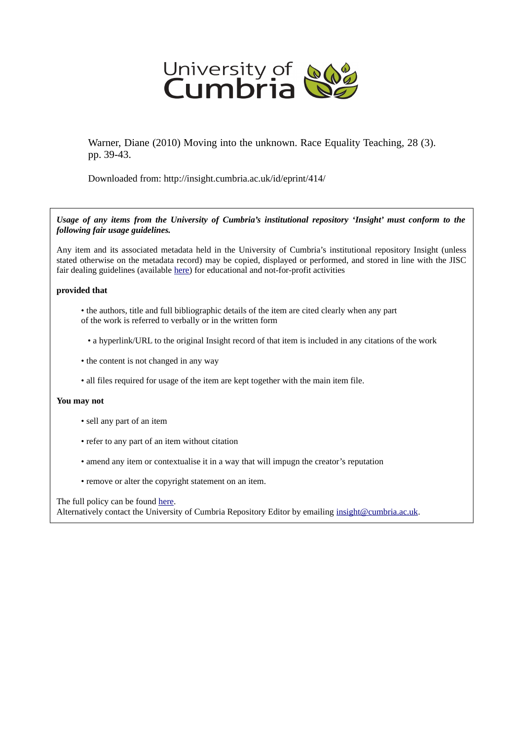

Warner, Diane (2010) Moving into the unknown. Race Equality Teaching, 28 (3). pp. 39-43.

Downloaded from: http://insight.cumbria.ac.uk/id/eprint/414/

*Usage of any items from the University of Cumbria's institutional repository 'Insight' must conform to the following fair usage guidelines.*

Any item and its associated metadata held in the University of Cumbria's institutional repository Insight (unless stated otherwise on the metadata record) may be copied, displayed or performed, and stored in line with the JISC fair dealing guidelines (available [here\)](http://www.ukoln.ac.uk/services/elib/papers/pa/fair/) for educational and not-for-profit activities

## **provided that**

- the authors, title and full bibliographic details of the item are cited clearly when any part of the work is referred to verbally or in the written form
	- a hyperlink/URL to the original Insight record of that item is included in any citations of the work
- the content is not changed in any way
- all files required for usage of the item are kept together with the main item file.

## **You may not**

- sell any part of an item
- refer to any part of an item without citation
- amend any item or contextualise it in a way that will impugn the creator's reputation
- remove or alter the copyright statement on an item.

The full policy can be found [here.](http://insight.cumbria.ac.uk/legal.html#section5)

Alternatively contact the University of Cumbria Repository Editor by emailing [insight@cumbria.ac.uk.](mailto:insight@cumbria.ac.uk)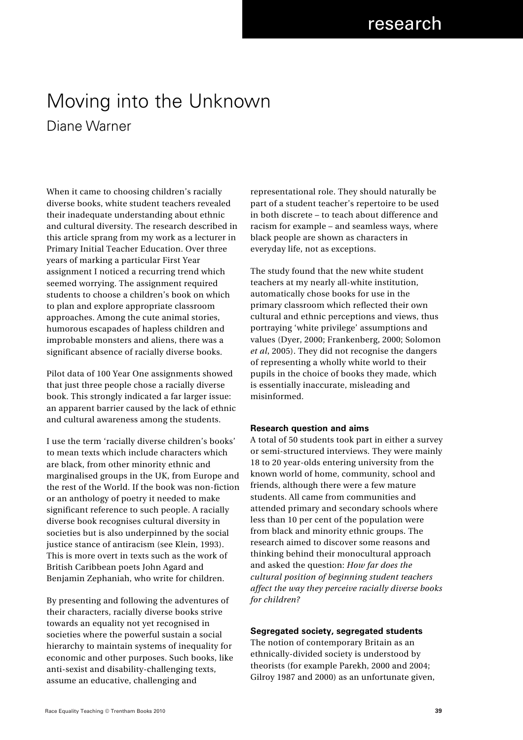# Moving into the Unknown Diane Warner

When it came to choosing children's racially diverse books, white student teachers revealed their inadequate understanding about ethnic and cultural diversity. The research described in this article sprang from my work as a lecturer in Primary Initial Teacher Education. Over three years of marking a particular First Year assignment I noticed a recurring trend which seemed worrying. The assignment required students to choose a children's book on which to plan and explore appropriate classroom approaches. Among the cute animal stories, humorous escapades of hapless children and improbable monsters and aliens, there was a significant absence of racially diverse books.

Pilot data of 100 Year One assignments showed that just three people chose a racially diverse book. This strongly indicated a far larger issue: an apparent barrier caused by the lack of ethnic and cultural awareness among the students.

I use the term 'racially diverse children's books' to mean texts which include characters which are black, from other minority ethnic and marginalised groups in the UK, from Europe and the rest of the World. If the book was non-fiction or an anthology of poetry it needed to make significant reference to such people. A racially diverse book recognises cultural diversity in societies but is also underpinned by the social justice stance of antiracism (see Klein, 1993). This is more overt in texts such as the work of British Caribbean poets John Agard and Benjamin Zephaniah, who write for children.

By presenting and following the adventures of their characters, racially diverse books strive towards an equality not yet recognised in societies where the powerful sustain a social hierarchy to maintain systems of inequality for economic and other purposes. Such books, like anti-sexist and disability-challenging texts, assume an educative, challenging and

representational role. They should naturally be part of a student teacher's repertoire to be used in both discrete – to teach about difference and racism for example – and seamless ways, where black people are shown as characters in everyday life, not as exceptions.

The study found that the new white student teachers at my nearly all-white institution, automatically chose books for use in the primary classroom which reflected their own cultural and ethnic perceptions and views, thus portraying 'white privilege' assumptions and values (Dyer, 2000; Frankenberg, 2000; Solomon *et al*, 2005). They did not recognise the dangers of representing a wholly white world to their pupils in the choice of books they made, which is essentially inaccurate, misleading and misinformed.

## **Research question and aims**

A total of 50 students took part in either a survey or semi-structured interviews. They were mainly 18 to 20 year-olds entering university from the known world of home, community, school and friends, although there were a few mature students. All came from communities and attended primary and secondary schools where less than 10 per cent of the population were from black and minority ethnic groups. The research aimed to discover some reasons and thinking behind their monocultural approach and asked the question: *How far does the cultural position of beginning student teachers affect the way they perceive racially diverse books for children?*

#### **Segregated society, segregated students**

The notion of contemporary Britain as an ethnically-divided society is understood by theorists (for example Parekh, 2000 and 2004; Gilroy 1987 and 2000) as an unfortunate given,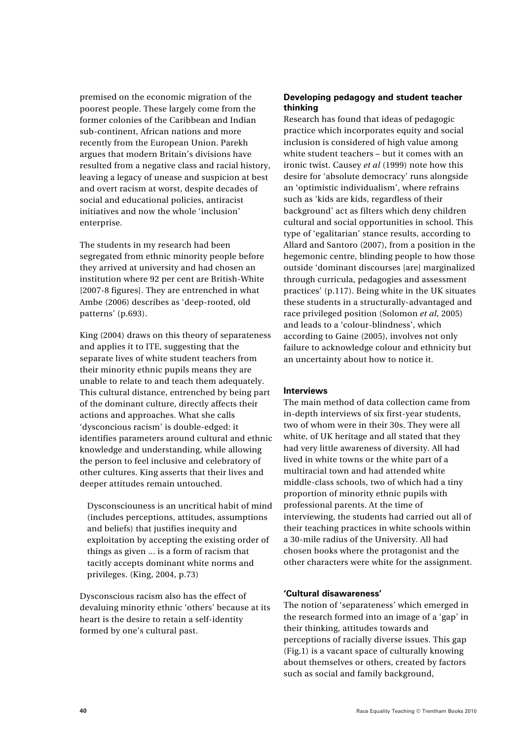premised on the economic migration of the poorest people. These largely come from the former colonies of the Caribbean and Indian sub-continent, African nations and more recently from the European Union. Parekh argues that modern Britain's divisions have resulted from a negative class and racial history, leaving a legacy of unease and suspicion at best and overt racism at worst, despite decades of social and educational policies, antiracist initiatives and now the whole 'inclusion' enterprise.

The students in my research had been segregated from ethnic minority people before they arrived at university and had chosen an institution where 92 per cent are British-White [2007-8 figures]. They are entrenched in what Ambe (2006) describes as 'deep-rooted, old patterns' (p.693).

King (2004) draws on this theory of separateness and applies it to ITE, suggesting that the separate lives of white student teachers from their minority ethnic pupils means they are unable to relate to and teach them adequately. This cultural distance, entrenched by being part of the dominant culture, directly affects their actions and approaches. What she calls 'dysconcious racism' is double-edged: it identifies parameters around cultural and ethnic knowledge and understanding, while allowing the person to feel inclusive and celebratory of other cultures. King asserts that their lives and deeper attitudes remain untouched.

Dysconsciouness is an uncritical habit of mind (includes perceptions, attitudes, assumptions and beliefs) that justifies inequity and exploitation by accepting the existing order of things as given ... is a form of racism that tacitly accepts dominant white norms and privileges. (King, 2004, p.73)

Dysconscious racism also has the effect of devaluing minority ethnic 'others' because at its heart is the desire to retain a self-identity formed by one's cultural past.

# **Developing pedagogy and student teacher thinking**

Research has found that ideas of pedagogic practice which incorporates equity and social inclusion is considered of high value among white student teachers – but it comes with an ironic twist. Causey *et al* (1999) note how this desire for 'absolute democracy' runs alongside an 'optimistic individualism', where refrains such as 'kids are kids, regardless of their background' act as filters which deny children cultural and social opportunities in school. This type of 'egalitarian' stance results, according to Allard and Santoro (2007), from a position in the hegemonic centre, blinding people to how those outside 'dominant discourses [are] marginalized through curricula, pedagogies and assessment practices' (p.117). Being white in the UK situates these students in a structurally-advantaged and race privileged position (Solomon *et al*, 2005) and leads to a 'colour-blindness', which according to Gaine (2005), involves not only failure to acknowledge colour and ethnicity but an uncertainty about how to notice it.

# **Interviews**

The main method of data collection came from in-depth interviews of six first-year students, two of whom were in their 30s. They were all white, of UK heritage and all stated that they had very little awareness of diversity. All had lived in white towns or the white part of a multiracial town and had attended white middle-class schools, two of which had a tiny proportion of minority ethnic pupils with professional parents. At the time of interviewing, the students had carried out all of their teaching practices in white schools within a 30-mile radius of the University. All had chosen books where the protagonist and the other characters were white for the assignment.

# **'Cultural disawareness'**

The notion of 'separateness' which emerged in the research formed into an image of a 'gap' in their thinking, attitudes towards and perceptions of racially diverse issues. This gap (Fig.1) is a vacant space of culturally knowing about themselves or others, created by factors such as social and family background,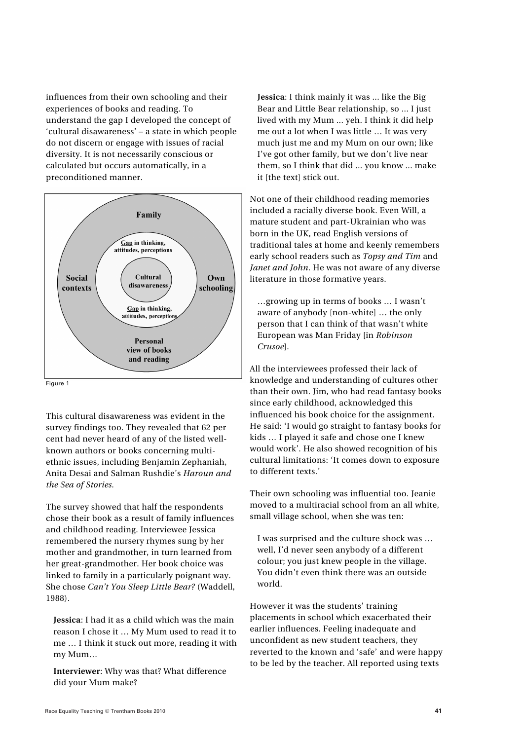influences from their own schooling and their experiences of books and reading. To understand the gap I developed the concept of 'cultural disawareness' – a state in which people do not discern or engage with issues of racial diversity. It is not necessarily conscious or calculated but occurs automatically, in a preconditioned manner.



This cultural disawareness was evident in the survey findings too. They revealed that 62 per cent had never heard of any of the listed wellknown authors or books concerning multiethnic issues, including Benjamin Zephaniah, Anita Desai and Salman Rushdie's *Haroun and the Sea of Stories.*

The survey showed that half the respondents chose their book as a result of family influences and childhood reading. Interviewee Jessica remembered the nursery rhymes sung by her mother and grandmother, in turn learned from her great-grandmother. Her book choice was linked to family in a particularly poignant way. She chose *Can't You Sleep Little Bear?* (Waddell, 1988).

**Jessica**: I had it as a child which was the main reason I chose it … My Mum used to read it to me … I think it stuck out more, reading it with my Mum…

**Interviewer**: Why was that? What difference did your Mum make?

**Jessica**: I think mainly it was ... like the Big Bear and Little Bear relationship, so ... I just lived with my Mum ... yeh. I think it did help me out a lot when I was little … It was very much just me and my Mum on our own; like I've got other family, but we don't live near them, so I think that did ... you know ... make it [the text] stick out.

Not one of their childhood reading memories included a racially diverse book. Even Will, a mature student and part-Ukrainian who was born in the UK, read English versions of traditional tales at home and keenly remembers early school readers such as *Topsy and Tim* and *Janet and John*. He was not aware of any diverse literature in those formative years.

…growing up in terms of books … I wasn't aware of anybody [non-white] … the only person that I can think of that wasn't white European was Man Friday [in *Robinson Crusoe*].

All the interviewees professed their lack of knowledge and understanding of cultures other than their own. Jim, who had read fantasy books since early childhood, acknowledged this influenced his book choice for the assignment. He said: 'I would go straight to fantasy books for kids … I played it safe and chose one I knew would work'. He also showed recognition of his cultural limitations: 'It comes down to exposure to different texts.'

Their own schooling was influential too. Jeanie moved to a multiracial school from an all white, small village school, when she was ten:

I was surprised and the culture shock was … well, I'd never seen anybody of a different colour; you just knew people in the village. You didn't even think there was an outside world.

However it was the students' training placements in school which exacerbated their earlier influences. Feeling inadequate and unconfident as new student teachers, they reverted to the known and 'safe' and were happy to be led by the teacher. All reported using texts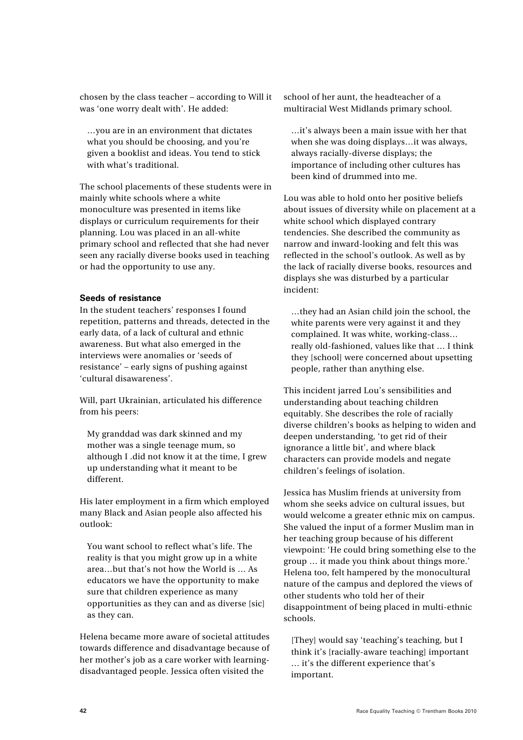chosen by the class teacher – according to Will it was 'one worry dealt with'. He added:

…you are in an environment that dictates what you should be choosing, and you're given a booklist and ideas. You tend to stick with what's traditional.

The school placements of these students were in mainly white schools where a white monoculture was presented in items like displays or curriculum requirements for their planning. Lou was placed in an all-white primary school and reflected that she had never seen any racially diverse books used in teaching or had the opportunity to use any.

## **Seeds of resistance**

In the student teachers' responses I found repetition, patterns and threads, detected in the early data, of a lack of cultural and ethnic awareness. But what also emerged in the interviews were anomalies or 'seeds of resistance' – early signs of pushing against 'cultural disawareness'.

Will, part Ukrainian, articulated his difference from his peers:

My granddad was dark skinned and my mother was a single teenage mum, so although I .did not know it at the time, I grew up understanding what it meant to be different.

His later employment in a firm which employed many Black and Asian people also affected his outlook:

You want school to reflect what's life. The reality is that you might grow up in a white area…but that's not how the World is … As educators we have the opportunity to make sure that children experience as many opportunities as they can and as diverse [sic] as they can.

Helena became more aware of societal attitudes towards difference and disadvantage because of her mother's job as a care worker with learningdisadvantaged people. Jessica often visited the

school of her aunt, the headteacher of a multiracial West Midlands primary school.

…it's always been a main issue with her that when she was doing displays…it was always, always racially-diverse displays; the importance of including other cultures has been kind of drummed into me.

Lou was able to hold onto her positive beliefs about issues of diversity while on placement at a white school which displayed contrary tendencies. She described the community as narrow and inward-looking and felt this was reflected in the school's outlook. As well as by the lack of racially diverse books, resources and displays she was disturbed by a particular incident:

…they had an Asian child join the school, the white parents were very against it and they complained. It was white, working-class… really old-fashioned, values like that … I think they [school] were concerned about upsetting people, rather than anything else.

This incident jarred Lou's sensibilities and understanding about teaching children equitably. She describes the role of racially diverse children's books as helping to widen and deepen understanding, 'to get rid of their ignorance a little bit', and where black characters can provide models and negate children's feelings of isolation.

Jessica has Muslim friends at university from whom she seeks advice on cultural issues, but would welcome a greater ethnic mix on campus. She valued the input of a former Muslim man in her teaching group because of his different viewpoint: 'He could bring something else to the group … it made you think about things more.' Helena too, felt hampered by the monocultural nature of the campus and deplored the views of other students who told her of their disappointment of being placed in multi-ethnic schools.

[They] would say 'teaching's teaching, but I think it's [racially-aware teaching] important … it's the different experience that's important.